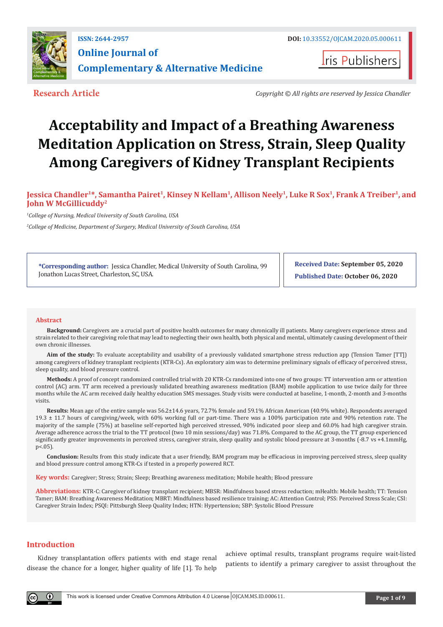

**Iris Publishers** 

**Research Article** *Copyright © All rights are reserved by Jessica Chandler* 

# **Acceptability and Impact of a Breathing Awareness Meditation Application on Stress, Strain, Sleep Quality Among Caregivers of Kidney Transplant Recipients**

# Jessica Chandler<sup>1\*</sup>, Samantha Pairet<sup>1</sup>, Kinsey N Kellam<sup>1</sup>, Allison Neely<sup>1</sup>, Luke R Sox<sup>1</sup>, Frank A Treiber<sup>1</sup>, and **John W McGillicuddy2**

*1 College of Nursing, Medical University of South Carolina, USA*

*2 College of Medicine, Department of Surgery, Medical University of South Carolina, USA*

**\*Corresponding author:** Jessica Chandler, Medical University of South Carolina, 99 Jonathon Lucas Street, Charleston, SC, USA.

**Received Date: September 05, 2020 Published Date: October 06, 2020**

#### **Abstract**

**Background:** Caregivers are a crucial part of positive health outcomes for many chronically ill patients. Many caregivers experience stress and strain related to their caregiving role that may lead to neglecting their own health, both physical and mental, ultimately causing development of their own chronic illnesses.

**Aim of the study:** To evaluate acceptability and usability of a previously validated smartphone stress reduction app (Tension Tamer [TT]) among caregivers of kidney transplant recipients (KTR-Cs). An exploratory aim was to determine preliminary signals of efficacy of perceived stress, sleep quality, and blood pressure control.

**Methods:** A proof of concept randomized controlled trial with 20 KTR-Cs randomized into one of two groups: TT intervention arm or attention control (AC) arm. TT arm received a previously validated breathing awareness meditation (BAM) mobile application to use twice daily for three months while the AC arm received daily healthy education SMS messages. Study visits were conducted at baseline, 1-month, 2-month and 3-months visits.

**Results:** Mean age of the entire sample was 56.2±14.6 years, 72.7% female and 59.1% African American (40.9% white). Respondents averaged 19.3 ± 11.7 hours of caregiving/week, with 60% working full or part-time. There was a 100% participation rate and 90% retention rate. The majority of the sample (75%) at baseline self-reported high perceived stressed, 90% indicated poor sleep and 60.0% had high caregiver strain. Average adherence across the trial to the TT protocol (two 10 min sessions/day) was 71.8%. Compared to the AC group, the TT group experienced significantly greater improvements in perceived stress, caregiver strain, sleep quality and systolic blood pressure at 3-months (-8.7 vs +4.1mmHg,  $p < .05$ ).

**Conclusion:** Results from this study indicate that a user friendly, BAM program may be efficacious in improving perceived stress, sleep quality and blood pressure control among KTR-Cs if tested in a properly powered RCT.

**Key words:** Caregiver; Stress; Strain; Sleep; Breathing awareness meditation; Mobile health; Blood pressure

**Abbreviations:** KTR-C: Caregiver of kidney transplant recipient; MBSR: Mindfulness based stress reduction; mHealth: Mobile health; TT: Tension Tamer; BAM: Breathing Awareness Meditation; MBRT: Mindfulness based resilience training; AC: Attention Control; PSS: Perceived Stress Scale; CSI: Caregiver Strain Index; PSQI: Pittsburgh Sleep Quality Index; HTN: Hypertension; SBP: Systolic Blood Pressure

# **Introduction**

 $\bf{0}$ 

Kidney transplantation offers patients with end stage renal disease the chance for a longer, higher quality of life [1]. To help

achieve optimal results, transplant programs require wait-listed patients to identify a primary caregiver to assist throughout the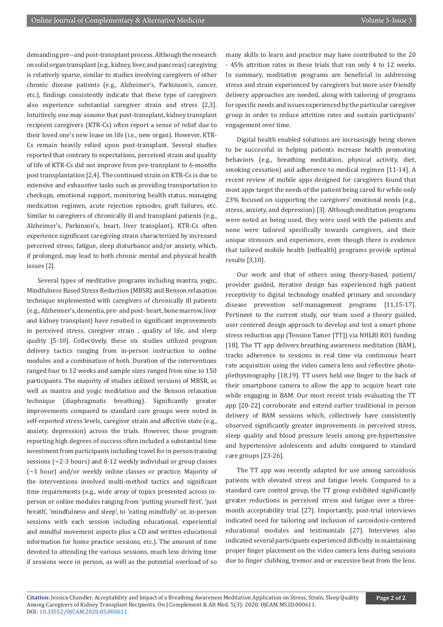demanding pre--and post-transplant process. Although the research on solid organ transplant (e.g., kidney, liver, and pancreas) caregiving is relatively sparse, similar to studies involving caregivers of other chronic disease patients (e.g., Alzheimer's, Parkinson's, cancer, etc.), findings consistently indicate that these type of caregivers also experience substantial caregiver strain and stress [2,3]. Intuitively, one may assume that post-transplant, kidney transplant recipient caregivers (KTR-Cs) often report a sense of relief due to their loved one's new lease on life (i.e., new organ). However, KTR-Cs remain heavily relied upon post-transplant. Several studies reported that contrary to expectations, perceived strain and quality of life of KTR-Cs did not improve from pre-transplant to 6-months post transplantation [2,4]. The continued strain on KTR-Cs is due to extensive and exhaustive tasks such as providing transportation to checkups, emotional support, monitoring health status, managing medication regimen, acute rejection episodes, graft failures, etc. Similar to caregivers of chronically ill and transplant patients (e.g., Alzheimer's, Parkinson's, heart, liver transplant), KTR-Cs often experience significant caregiving strain characterized by increased perceived stress, fatigue, sleep disturbance and/or anxiety, which, if prolonged, may lead to both chronic mental and physical health issues [2].

Several types of meditative programs including mantra, yogic, Mindfulness Based Stress Reduction (MBSR) and Benson relaxation technique implemented with caregivers of chronically ill patients (e.g., Alzheimer's, dementia, pre- and post- heart, bone marrow, liver and kidney transplant) have resulted in significant improvements in perceived stress, caregiver strain , quality of life, and sleep quality [5-10]. Collectively, these six studies utilized program delivery tactics ranging from in-person instruction to online modules and a combination of both. Duration of the interventions ranged four to 12 weeks and sample sizes ranged from nine to 150 participants. The majority of studies utilized versions of MBSR, as well as mantra and yogic meditation and the Benson relaxation technique (diaphragmatic breathing). Significantly greater improvements compared to standard care groups were noted in self-reported stress levels, caregiver strain and affective state (e.g., anxiety, depression) across the trials. However, those program reporting high degrees of success often included a substantial time investment from participants including travel for in person training sessions (~2-3 hours) and 8-12 weekly individual or group classes (~1 hour) and/or weekly online classes or practice. Majority of the interventions involved multi-method tactics and significant time requirements (e.g., wide array of topics presented across inperson or online modules ranging from 'putting yourself first', 'just breath', 'mindfulness and sleep', to 'eating mindfully' or, in-person sessions with each session including educational, experiential and mindful movement aspects plus a CD and written educational information for home practice sessions, etc.). The amount of time devoted to attending the various sessions, much less driving time if sessions were in person, as well as the potential overload of so

many skills to learn and practice may have contributed to the 20 - 45% attrition rates in these trials that ran only 4 to 12 weeks. In summary, meditative programs are beneficial in addressing stress and strain experienced by caregivers but more user friendly delivery approaches are needed, along with tailoring of programs for specific needs and issues experienced by the particular caregiver group in order to reduce attrition rates and sustain participants' engagement over time.

Digital health enabled solutions are increasingly being shown to be successful in helping patients increase health promoting behaviors (e.g., breathing meditation, physical activity, diet, smoking cessation) and adherence to medical regimen [11-14]. A recent review of mobile apps designed for caregivers found that most apps target the needs of the patient being cared for while only 23% focused on supporting the caregivers' emotional needs (e.g., stress, anxiety, and depression) [3]. Although meditation programs were noted as being used, they were used with the patients and none were tailored specifically towards caregivers, and their unique stressors and experiences, even though there is evidence that tailored mobile health (mHealth) programs provide optimal results [3,10].

Our work and that of others using theory-based, patient/ provider guided, iterative design has experienced high patient receptivity to digital technology enabled primary and secondary disease prevention self-management programs [11,15-17]. Pertinent to the current study, our team used a theory guided, user centered design approach to develop and test a smart phone stress reduction app (Tension Tamer [TT]) via NHLBI RO1 funding [18]. The TT app delivers breathing awareness meditation (BAM), tracks adherence to sessions in real time via continuous heart rate acquisition using the video camera lens and reflective photoplethysmography [18,19]. TT users held one finger to the back of their smartphone camera to allow the app to acquire heart rate while engaging in BAM. Our most recent trials evaluating the TT app [20-22] corroborate and extend earlier traditional in person delivery of BAM sessions which, collectively have consistently observed significantly greater improvements in perceived stress, sleep quality and blood pressure levels among pre-hypertensive and hypertensive adolescents and adults compared to standard care groups [23-26].

The TT app was recently adapted for use among sarcoidosis patients with elevated stress and fatigue levels. Compared to a standard care control group, the TT group exhibited significantly greater reductions in perceived stress and fatigue over a threemonth acceptability trial [27]. Importantly, post-trial interviews indicated need for tailoring and inclusion of sarcoidosis-centered educational modules and testimonials [27]. Interviews also indicated several participants experienced difficulty in maintaining proper finger placement on the video camera lens during sessions due to finger clubbing, tremor and or excessive heat from the lens.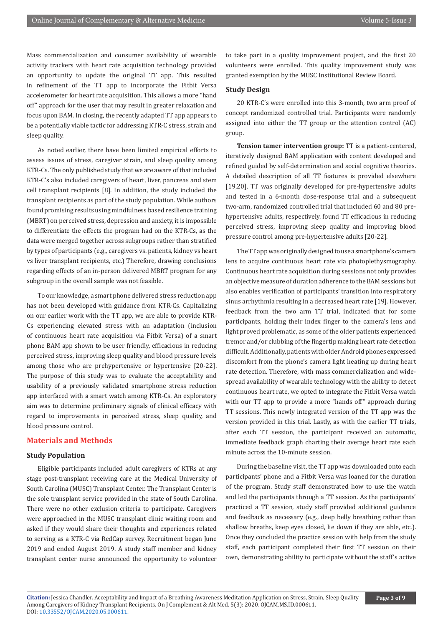Mass commercialization and consumer availability of wearable activity trackers with heart rate acquisition technology provided an opportunity to update the original TT app. This resulted in refinement of the TT app to incorporate the Fitbit Versa accelerometer for heart rate acquisition. This allows a more "hand off" approach for the user that may result in greater relaxation and focus upon BAM. In closing, the recently adapted TT app appears to be a potentially viable tactic for addressing KTR-C stress, strain and sleep quality.

As noted earlier, there have been limited empirical efforts to assess issues of stress, caregiver strain, and sleep quality among KTR-Cs. The only published study that we are aware of that included KTR-C's also included caregivers of heart, liver, pancreas and stem cell transplant recipients [8]. In addition, the study included the transplant recipients as part of the study population. While authors found promising results using mindfulness based resilience training (MBRT) on perceived stress, depression and anxiety, it is impossible to differentiate the effects the program had on the KTR-Cs, as the data were merged together across subgroups rather than stratified by types of participants (e.g., caregivers vs. patients, kidney vs heart vs liver transplant recipients, etc.) Therefore, drawing conclusions regarding effects of an in-person delivered MBRT program for any subgroup in the overall sample was not feasible.

To our knowledge, a smart phone delivered stress reduction app has not been developed with guidance from KTR-Cs. Capitalizing on our earlier work with the TT app, we are able to provide KTR-Cs experiencing elevated stress with an adaptation (inclusion of continuous heart rate acquisition via Fitbit Versa) of a smart phone BAM app shown to be user friendly, efficacious in reducing perceived stress, improving sleep quality and blood pressure levels among those who are prehypertensive or hypertensive [20-22]. The purpose of this study was to evaluate the acceptability and usability of a previously validated smartphone stress reduction app interfaced with a smart watch among KTR-Cs. An exploratory aim was to determine preliminary signals of clinical efficacy with regard to improvements in perceived stress, sleep quality, and blood pressure control.

# **Materials and Methods**

#### **Study Population**

Eligible participants included adult caregivers of KTRs at any stage post-transplant receiving care at the Medical University of South Carolina (MUSC) Transplant Center. The Transplant Center is the sole transplant service provided in the state of South Carolina. There were no other exclusion criteria to participate. Caregivers were approached in the MUSC transplant clinic waiting room and asked if they would share their thoughts and experiences related to serving as a KTR-C via RedCap survey. Recruitment began June 2019 and ended August 2019. A study staff member and kidney transplant center nurse announced the opportunity to volunteer

to take part in a quality improvement project, and the first 20 volunteers were enrolled. This quality improvement study was granted exemption by the MUSC Institutional Review Board.

## **Study Design**

20 KTR-C's were enrolled into this 3-month, two arm proof of concept randomized controlled trial. Participants were randomly assigned into either the TT group or the attention control (AC) group.

**Tension tamer intervention group:** TT is a patient-centered, iteratively designed BAM application with content developed and refined guided by self-determination and social cognitive theories. A detailed description of all TT features is provided elsewhere [19,20]. TT was originally developed for pre-hypertensive adults and tested in a 6-month dose-response trial and a subsequent two-arm, randomized controlled trial that included 60 and 80 prehypertensive adults, respectively. found TT efficacious in reducing perceived stress, improving sleep quality and improving blood pressure control among pre-hypertensive adults [20-22].

The TT app was originally designed to use a smartphone's camera lens to acquire continuous heart rate via photoplethysmography. Continuous heart rate acquisition during sessions not only provides an objective measure of duration adherence to the BAM sessions but also enables verification of participants' transition into respiratory sinus arrhythmia resulting in a decreased heart rate [19]. However, feedback from the two arm TT trial, indicated that for some participants, holding their index finger to the camera's lens and light proved problematic, as some of the older patients experienced tremor and/or clubbing of the fingertip making heart rate detection difficult. Additionally, patients with older Android phones expressed discomfort from the phone's camera light heating up during heart rate detection. Therefore, with mass commercialization and widespread availability of wearable technology with the ability to detect continuous heart rate, we opted to integrate the Fitbit Versa watch with our TT app to provide a more "hands off" approach during TT sessions. This newly integrated version of the TT app was the version provided in this trial. Lastly, as with the earlier TT trials, after each TT session, the participant received an automatic, immediate feedback graph charting their average heart rate each minute across the 10-minute session.

During the baseline visit, the TT app was downloaded onto each participants' phone and a Fitbit Versa was loaned for the duration of the program. Study staff demonstrated how to use the watch and led the participants through a TT session. As the participants' practiced a TT session, study staff provided additional guidance and feedback as necessary (e.g., deep belly breathing rather than shallow breaths, keep eyes closed, lie down if they are able, etc.). Once they concluded the practice session with help from the study staff, each participant completed their first TT session on their own, demonstrating ability to participate without the staff's active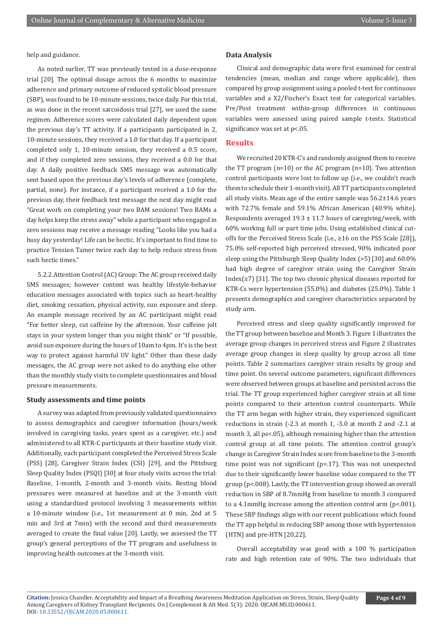## help and guidance.

As noted earlier, TT was previously tested in a dose-response trial [20]. The optimal dosage across the 6 months to maximize adherence and primary outcome of reduced systolic blood pressure (SBP), was found to be 10-minute sessions, twice daily. For this trial, as was done in the recent sarcoidosis trial [27], we used the same regimen. Adherence scores were calculated daily dependent upon the previous day's TT activity. If a participants participated in 2, 10-minute sessions, they received a 1.0 for that day. If a participant completed only 1, 10-minute session, they received a 0.5 score, and if they completed zero sessions, they received a 0.0 for that day. A daily positive feedback SMS message was automatically sent based upon the previous day's levels of adherence (complete, partial, none). For instance, if a participant received a 1.0 for the previous day, their feedback text message the next day might read "Great work on completing your two BAM sessions! Two BAMs a day helps keep the stress away" while a participant who engaged in zero sessions may receive a message reading "Looks like you had a busy day yesterday! Life can be hectic. It's important to find time to practice Tension Tamer twice each day to help reduce stress from such hectic times."

5.2.2.Attention Control (AC) Group: The AC group received daily SMS messages; however content was healthy lifestyle-behavior education messages associated with topics such as heart-healthy diet, smoking cessation, physical activity, sun exposure and sleep. An example message received by an AC participant might read "For better sleep, cut caffeine by the afternoon. Your caffeine jolt stays in your system longer than you might think" or "If possible, avoid sun exposure during the hours of 10am to 4pm. It's is the best way to protect against harmful UV light." Other than these daily messages, the AC group were not asked to do anything else other than the monthly study visits to complete questionnaires and blood pressure measurements.

#### **Study assessments and time points**

A survey was adapted from previously validated questionnaires to assess demographics and caregiver information (hours/week involved in caregiving tasks, years spent as a caregiver, etc.) and administered to all KTR-C participants at their baseline study visit. Additionally, each participant completed the Perceived Stress Scale (PSS) [28], Caregiver Strain Index (CSI) [29], and the Pittsburg Sleep Quality Index (PSQI) [30] at four study visits across the trial: Baseline, 1-month, 2-month and 3-month visits. Resting blood pressures were measured at baseline and at the 3-month visit using a standardized protocol involving 3 measurements within a 10-minute window (i.e., 1st measurement at 0 min, 2nd at 5 min and 3rd at 7min) with the second and third measurements averaged to create the final value [20]. Lastly, we assessed the TT group's general perceptions of the TT program and usefulness in improving health outcomes at the 3-month visit.

#### **Data Analysis**

Clinical and demographic data were first examined for central tendencies (mean, median and range where applicable), then compared by group assignment using a pooled t-test for continuous variables and a X2/Fischer's Exact test for categorical variables. Pre/Post treatment within-group differences in continuous variables were assessed using paired sample t-tests. Statistical significance was set at p<.05.

## **Results**

We recruited 20 KTR-C's and randomly assigned them to receive the TT program (n=10) or the AC program (n=10). Two attention control participants were lost to follow up (i.e., we couldn't reach them to schedule their 1-month visit). All TT participants completed all study visits. Mean age of the entire sample was 56.2±14.6 years with 72.7% female and 59.1% African American (40.9% white). Respondents averaged  $19.3 \pm 11.7$  hours of caregiving/week, with 60% working full or part time jobs. Using established clinical cutoffs for the Perceived Stress Scale (i.e., ≥16 on the PSS Scale [28]), 75.0% self-reported high perceived stressed, 90% indicated poor sleep using the Pittsburgh Sleep Quality Index (>5) [30] and 60.0% had high degree of caregiver strain using the Caregiver Strain Index(≥7) [31]. The top two chronic physical diseases reported for KTR-Cs were hypertension (55.0%) and diabetes (25.0%). Table 1 presents demographics and caregiver characteristics separated by study arm.

Perceived stress and sleep quality significantly improved for the TT group between baseline and Month 3. Figure 1 illustrates the average group changes in perceived stress and Figure 2 illustrates average group changes in sleep quality by group across all time points. Table 2 summarizes caregiver strain results by group and time point. On several outcome parameters, significant differences were observed between groups at baseline and persisted across the trial. The TT group experienced higher caregiver strain at all time points compared to their attention control counterparts. While the TT arm began with higher strain, they experienced significant reductions in strain (-2.3 at month 1, -3.0 at month 2 and -2.1 at month 3, all ps<.05), although remaining higher than the attention control group at all time points. The attention control group's change in Caregiver Strain Index score from baseline to the 3-month time point was not significant (p=.17). This was not unexpected due to their significantly lower baseline value compared to the TT group (p<.008). Lastly, the TT intervention group showed an overall reduction in SBP of 8.7mmHg from baseline to month 3 compared to a 4.1mmHg increase among the attention control arm (p<.001). These SBP findings align with our recent publications which found the TT app helpful in reducing SBP among those with hypertension (HTN) and pre-HTN [20,22].

Overall acceptability was good with a 100 % participation rate and high retention rate of 90%. The two individuals that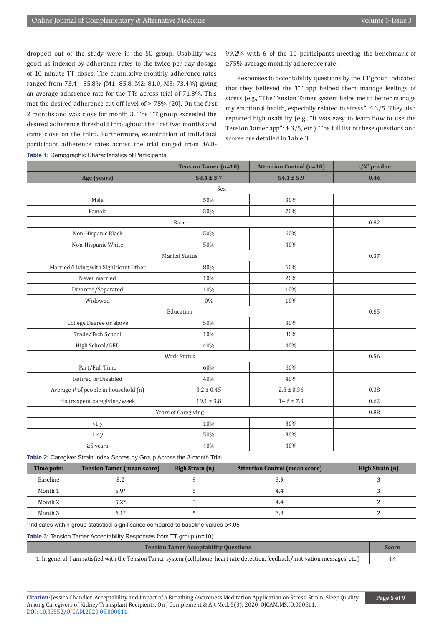dropped out of the study were in the SC group. Usability was good, as indexed by adherence rates to the twice per day dosage of 10-minute TT doses. The cumulative monthly adherence rates ranged from 73.4 - 85.8% (M1: 85.8, M2: 81.0, M3: 73.4%) giving an average adherence rate for the TTs across trial of 71.8%. This met the desired adherence cut off level of > 75% [20]. On the first 2 months and was close for month 3. The TT group exceeded the desired adherence threshold throughout the first two months and came close on the third. Furthermore, examination of individual participant adherence rates across the trial ranged from 46.8- **Table 1: Demographic Characteristics of Participants.** 

99.2% with 6 of the 10 participants meeting the benchmark of ≥75% average monthly adherence rate.

Responses to acceptability questions by the TT group indicated that they believed the TT app helped them manage feelings of stress (e.g., "The Tension Tamer system helps me to better manage my emotional health, especially related to stress"; 4.3/5. They also reported high usability (e.g., "It was easy to learn how to use the Tension Tamer app": 4.3/5, etc.). The full list of these questions and scores are detailed in Table 3.

|                                       | <b>Tension Tamer (n=10)</b> | <b>Attention Control (n=10)</b> | $t/X^2$ p-value |
|---------------------------------------|-----------------------------|---------------------------------|-----------------|
| Age (years)                           | $58.4 \pm 3.7$              | $54.1 \pm 5.9$                  | 0.46            |
|                                       | Sex                         |                                 |                 |
| Male                                  | 50%                         | 30%                             |                 |
| Female                                | 50%                         | 70%                             |                 |
|                                       | 0.82                        |                                 |                 |
| Non-Hispanic Black                    | 50%                         | 60%                             |                 |
| Non-Hispanic White                    | 50%                         | 40%                             |                 |
| <b>Marital Status</b>                 | 0.37                        |                                 |                 |
| Married/Living with Significant Other | 80%                         | 60%                             |                 |
| Never married                         | 10%                         | 20%                             |                 |
| Divorced/Separated                    | 10%                         | 10%                             |                 |
| Widowed                               | $0\%$                       | 10%                             |                 |
| Education                             | 0.65                        |                                 |                 |
| College Degree or above               | 50%                         | 30%                             |                 |
| Trade/Tech School                     | 10%                         | 30%                             |                 |
| High School/GED                       | 40%                         | 40%                             |                 |
| <b>Work Status</b>                    |                             |                                 | 0.56            |
| Part/Full Time                        | 60%                         | 60%                             |                 |
| Retired or Disabled                   | 40%                         | 40%                             |                 |
| Average # of people in household (n)  | $3.2 \pm 0.45$              | $2.8 \pm 0.36$                  | 0.38            |
| Hours spent caregiving/week           | $19.1 \pm 3.8$              | $14.6 \pm 7.3$                  | 0.62            |
| Years of Caregiving                   |                             |                                 | 0.88            |
| <1 y                                  | 10%                         | 30%                             |                 |
| $1-4y$                                | 50%                         | 30%                             |                 |
| $\geq$ 5 years                        | 40%                         | 40%                             |                 |

**Table 2:** Caregiver Strain Index Scores by Group Across the 3-month Trial.

| <b>Time point</b> | <b>Tension Tamer (mean score)</b> | High Strain (n) | <b>Attention Control (mean score)</b> | High Strain (n) |
|-------------------|-----------------------------------|-----------------|---------------------------------------|-----------------|
| Baseline          | 8.2                               |                 | 3.9                                   |                 |
| Month 1           | $5.9*$                            |                 | 4.4                                   |                 |
| Month 2           | $5.2*$                            |                 | 4.4                                   |                 |
| Month 3           | $6.1*$                            |                 | 3.8                                   |                 |

\*Indicates within group statistical significance compared to baseline values p<.05

**Table 3:** Tension Tamer Acceptability Responses from TT group (n=10).

| <b>Tension Tamer Acceptability Questions</b>                                                                                      |  |
|-----------------------------------------------------------------------------------------------------------------------------------|--|
| 1. In general, I am satisfied with the Tension Tamer system (cellphone, heart rate detection, feedback/motivation messages, etc.) |  |

**Citation:** Jessica Chandler. Acceptability and Impact of a Breathing Awareness Meditation Application on Stress, Strain, Sleep Quality Among Caregivers of Kidney Transplant Recipients. On J Complement & Alt Med. 5(3): 2020. OJCAM.MS.ID.000611. DOI: [10.33552/OJCAM.2020.05.000611](http://dx.doi.org/10.33552/OJCAM.2020.05.000611).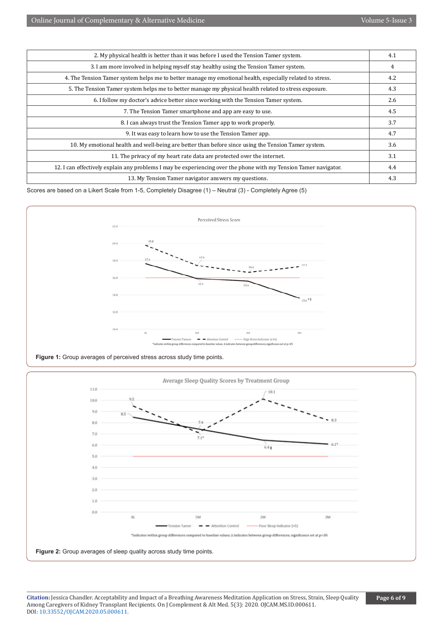| 2. My physical health is better than it was before I used the Tension Tamer system.                              |  |  |
|------------------------------------------------------------------------------------------------------------------|--|--|
| 3. I am more involved in helping myself stay healthy using the Tension Tamer system.                             |  |  |
| 4. The Tension Tamer system helps me to better manage my emotional health, especially related to stress.         |  |  |
| 5. The Tension Tamer system helps me to better manage my physical health related to stress exposure.             |  |  |
| 6. I follow my doctor's advice better since working with the Tension Tamer system.                               |  |  |
| 7. The Tension Tamer smartphone and app are easy to use.                                                         |  |  |
| 8. I can always trust the Tension Tamer app to work properly.                                                    |  |  |
| 9. It was easy to learn how to use the Tension Tamer app.                                                        |  |  |
| 10. My emotional health and well-being are better than before since using the Tension Tamer system.              |  |  |
| 11. The privacy of my heart rate data are protected over the internet.                                           |  |  |
| 12. I can effectively explain any problems I may be experiencing over the phone with my Tension Tamer navigator. |  |  |
| 13. My Tension Tamer navigator answers my questions.                                                             |  |  |

Scores are based on a Likert Scale from 1-5, Completely Disagree (1) – Neutral (3) - Completely Agree (5)



**Figure 1:** Group averages of perceived stress across study time points.



**Citation:** Jessica Chandler. Acceptability and Impact of a Breathing Awareness Meditation Application on Stress, Strain, Sleep Quality Among Caregivers of Kidney Transplant Recipients. On J Complement & Alt Med. 5(3): 2020. OJCAM.MS.ID.000611. DOI: [10.33552/OJCAM.2020.05.000611](http://dx.doi.org/10.33552/OJCAM.2020.05.000611).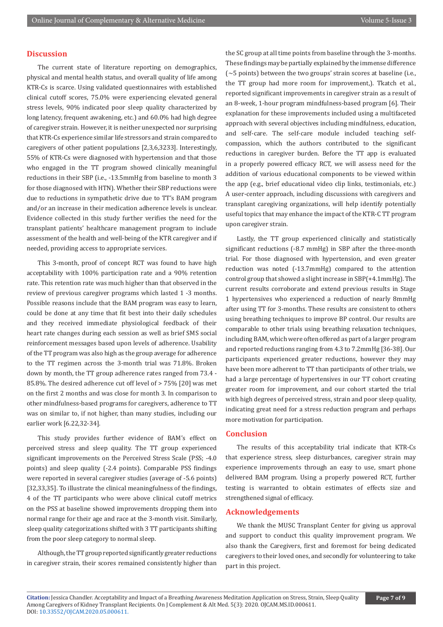## **Discussion**

The current state of literature reporting on demographics, physical and mental health status, and overall quality of life among KTR-Cs is scarce. Using validated questionnaires with established clinical cutoff scores, 75.0% were experiencing elevated general stress levels, 90% indicated poor sleep quality characterized by long latency, frequent awakening, etc.) and 60.0% had high degree of caregiver strain. However, it is neither unexpected nor surprising that KTR-Cs experience similar life stressors and strain compared to caregivers of other patient populations [2,3,6,3233]. Interestingly, 55% of KTR-Cs were diagnosed with hypertension and that those who engaged in the TT program showed clinically meaningful reductions in their SBP (i.e., -13.5mmHg from baseline to month 3 for those diagnosed with HTN). Whether their SBP reductions were due to reductions in sympathetic drive due to TT's BAM program and/or an increase in their medication adherence levels is unclear. Evidence collected in this study further verifies the need for the transplant patients' healthcare management program to include assessment of the health and well-being of the KTR caregiver and if needed, providing access to appropriate services.

This 3-month, proof of concept RCT was found to have high acceptability with 100% participation rate and a 90% retention rate. This retention rate was much higher than that observed in the review of previous caregiver programs which lasted 1 -3 months. Possible reasons include that the BAM program was easy to learn, could be done at any time that fit best into their daily schedules and they received immediate physiological feedback of their heart rate changes during each session as well as brief SMS social reinforcement messages based upon levels of adherence. Usability of the TT program was also high as the group average for adherence to the TT regimen across the 3-month trial was 71.8%. Broken down by month, the TT group adherence rates ranged from 73.4 - 85.8%. The desired adherence cut off level of > 75% [20] was met on the first 2 months and was close for month 3. In comparison to other mindfulness-based programs for caregivers, adherence to TT was on similar to, if not higher, than many studies, including our earlier work [6.22,32-34].

This study provides further evidence of BAM's effect on perceived stress and sleep quality. The TT group experienced significant improvements on the Perceived Stress Scale (PSS; -4.0 points) and sleep quality (-2.4 points). Comparable PSS findings were reported in several caregiver studies (average of -5.6 points) [32,33,35]. To illustrate the clinical meaningfulness of the findings, 4 of the TT participants who were above clinical cutoff metrics on the PSS at baseline showed improvements dropping them into normal range for their age and race at the 3-month visit. Similarly, sleep quality categorizations shifted with 3 TT participants shifting from the poor sleep category to normal sleep.

Although, the TT group reported significantly greater reductions in caregiver strain, their scores remained consistently higher than the SC group at all time points from baseline through the 3-months. These findings may be partially explained by the immense difference  $\sim$  5 points) between the two groups' strain scores at baseline (i.e., the TT group had more room for improvement,). Tkatch et al., reported significant improvements in caregiver strain as a result of an 8-week, 1-hour program mindfulness-based program [6]. Their explanation for these improvements included using a multifaceted approach with several objectives including mindfulness, education, and self-care. The self-care module included teaching selfcompassion, which the authors contributed to the significant reductions in caregiver burden. Before the TT app is evaluated in a properly powered efficacy RCT, we will assess need for the addition of various educational components to be viewed within the app (e.g., brief educational video clip links, testimonials, etc.) A user-center approach, including discussions with caregivers and transplant caregiving organizations, will help identify potentially useful topics that may enhance the impact of the KTR-C TT program upon caregiver strain.

Lastly, the TT group experienced clinically and statistically significant reductions (-8.7 mmHg) in SBP after the three-month trial. For those diagnosed with hypertension, and even greater reduction was noted (-13.7mmHg) compared to the attention control group that showed a slight increase in SBP(+4.1mmHg). The current results corroborate and extend previous results in Stage 1 hypertensives who experienced a reduction of nearly 8mmHg after using TT for 3-months. These results are consistent to others using breathing techniques to improve BP control. Our results are comparable to other trials using breathing relaxation techniques, including BAM, which were often offered as part of a larger program and reported reductions ranging from 4.3 to 7.2mmHg [36-38]. Our participants experienced greater reductions, however they may have been more adherent to TT than participants of other trials, we had a large percentage of hypertensives in our TT cohort creating greater room for improvement, and our cohort started the trial with high degrees of perceived stress, strain and poor sleep quality, indicating great need for a stress reduction program and perhaps more motivation for participation.

#### **Conclusion**

The results of this acceptability trial indicate that KTR-Cs that experience stress, sleep disturbances, caregiver strain may experience improvements through an easy to use, smart phone delivered BAM program. Using a properly powered RCT, further testing is warranted to obtain estimates of effects size and strengthened signal of efficacy.

# **Acknowledgements**

We thank the MUSC Transplant Center for giving us approval and support to conduct this quality improvement program. We also thank the Caregivers, first and foremost for being dedicated caregivers to their loved ones, and secondly for volunteering to take part in this project.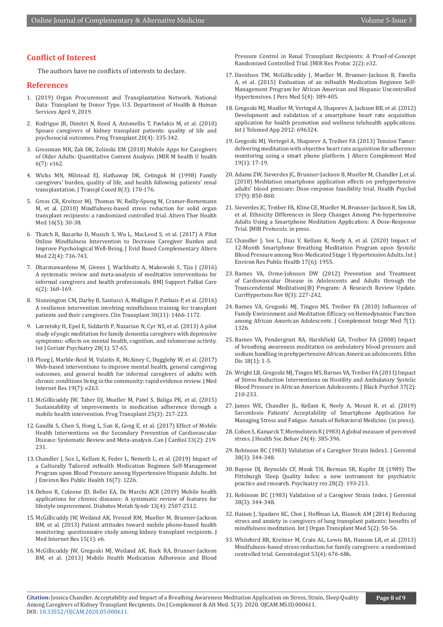# **Conflict of Interest**

The authors have no conflicts of interests to declare.

# **References**

- 1. (2019) Organ Procurement and Transplantation Network. National Data: Transplant by Donor Type. U.S. Department of Health & Human Services April 9, 2019.
- 2. Rodrigue JR, Dimitri N, Reed A, Antonellis T, Pavlakis M, et al. (2010) Spouse caregivers of kidney transplant patients: quality of life and psychosocial outcomes. Prog Transplant 20(4): 335-342.
- 3. [Grossman MR, Zak DK, Zelinski EM \(2018\) Mobile Apps for Caregivers](https://pubmed.ncbi.nlm.nih.gov/30061093/)  [of Older Adults: Quantitative Content Analysis. JMIR M health U health](https://pubmed.ncbi.nlm.nih.gov/30061093/)  [6\(7\): e162.](https://pubmed.ncbi.nlm.nih.gov/30061093/)
- 4. [Wicks MN, Milstead EJ, Hathaway DK, Cetingok M \(1998\) Family](https://pubmed.ncbi.nlm.nih.gov/9866547/)  [caregivers' burden, quality of life, and health following patients' renal](https://pubmed.ncbi.nlm.nih.gov/9866547/)  [transplantation. J Transpl Coord 8\(3\): 170-176.](https://pubmed.ncbi.nlm.nih.gov/9866547/)
- 5. [Gross CR, Kreitzer MJ, Thomas W, Reilly-Spong M, Cramer-Bornemann](https://pubmed.ncbi.nlm.nih.gov/20882729/)  [M, et al. \(2010\) Mindfulness-based stress reduction for solid organ](https://pubmed.ncbi.nlm.nih.gov/20882729/)  [transplant recipients: a randomized controlled trial. Altern Ther Health](https://pubmed.ncbi.nlm.nih.gov/20882729/)  [Med 16\(5\): 30-38.](https://pubmed.ncbi.nlm.nih.gov/20882729/)
- 6. Tkatch R, Bazarko D, Musich S, Wu L, MacLeod S, et al. (2017) A Pilot Online Mindfulness Intervention to Decrease Caregiver Burden and Improve Psychological Well-Being. J Evid Based Complementary Altern Med 22(4): 736-743.
- 7. [Dharmawardene M, Givens J, Wachholtz A, Makowski S, Tjia J \(2016\)](https://pubmed.ncbi.nlm.nih.gov/25812579/)  [A systematic review and meta-analysis of meditative interventions for](https://pubmed.ncbi.nlm.nih.gov/25812579/)  [informal caregivers and health professionals. BMJ Support Palliat Care](https://pubmed.ncbi.nlm.nih.gov/25812579/)  [6\(2\): 160-169.](https://pubmed.ncbi.nlm.nih.gov/25812579/)
- 8. [Stonnington CM, Darby B, Santucci A, Mulligan P, Pathuis P, et al. \(2016\)](https://pubmed.ncbi.nlm.nih.gov/27618687/)  [A resilience intervention involving mindfulness training for transplant](https://pubmed.ncbi.nlm.nih.gov/27618687/)  [patients and their caregivers. Clin Transplant 30\(11\): 1466-1172.](https://pubmed.ncbi.nlm.nih.gov/27618687/)
- 9. [Lavretsky H, Epel E, Siddarth P, Nazarian N, Cyr NS, et al. \(2013\) A pilot](https://pubmed.ncbi.nlm.nih.gov/22407663/)  [study of yogic meditation for family dementia caregivers with depressive](https://pubmed.ncbi.nlm.nih.gov/22407663/)  [symptoms: effects on mental health, cognition, and telomerase activity.](https://pubmed.ncbi.nlm.nih.gov/22407663/)  [Int J Geriatr Psychiatry 28\(1\): 57-65.](https://pubmed.ncbi.nlm.nih.gov/22407663/)
- 10. [Ploeg J, Markle-Reid M, Valaitis R, McAiney C, Duggleby W, et al. \(2017\)](https://pubmed.ncbi.nlm.nih.gov/28754652/)  [Web-based interventions to improve mental health, general caregiving](https://pubmed.ncbi.nlm.nih.gov/28754652/)  [outcomes, and general health for informal caregivers of adults with](https://pubmed.ncbi.nlm.nih.gov/28754652/)  [chronic conditions living in the community: rapid evidence review. J Med](https://pubmed.ncbi.nlm.nih.gov/28754652/)  [Internet Res 19\(7\): e263.](https://pubmed.ncbi.nlm.nih.gov/28754652/)
- 11. [McGillicuddy JW, Taber DJ, Mueller M, Patel S, Baliga PK, et al. \(2015\)](https://pubmed.ncbi.nlm.nih.gov/26308780/)  [Sustainability of improvements in medication adherence through a](https://pubmed.ncbi.nlm.nih.gov/26308780/)  [mobile health intervention. Prog Transplant 25\(3\): 217-223.](https://pubmed.ncbi.nlm.nih.gov/26308780/)
- 12. [Gandhi S, Chen S, Hong L, Sun K, Gong E, et al. \(2017\) Effect of Mobile](https://pubmed.ncbi.nlm.nih.gov/27956043/)  [Health Interventions on the Secondary Prevention of Cardiovascular](https://pubmed.ncbi.nlm.nih.gov/27956043/)  [Disease: Systematic Review and Meta-analysis. Can J Cardiol 33\(2\): 219-](https://pubmed.ncbi.nlm.nih.gov/27956043/) [231.](https://pubmed.ncbi.nlm.nih.gov/27956043/)
- 13. [Chandler J, Sox L, Kellam K, Feder L, Nemeth L, et al. \(2019\) Impact of](https://pubmed.ncbi.nlm.nih.gov/30959858/)  [a Culturally Tailored mHealth Medication Regimen Self-Management](https://pubmed.ncbi.nlm.nih.gov/30959858/)  [Program upon Blood Pressure among Hypertensive Hispanic Adults. Int](https://pubmed.ncbi.nlm.nih.gov/30959858/)  [J Environ Res Public Health 16\(7\): 1226.](https://pubmed.ncbi.nlm.nih.gov/30959858/)
- 14. [Debon R, Coleone JD, Bellei EA, De Marchi ACB \(2019\) Mobile health](https://pubmed.ncbi.nlm.nih.gov/31405669/)  [applications for chronic diseases: A systematic review of features for](https://pubmed.ncbi.nlm.nih.gov/31405669/)  [lifestyle improvement. Diabetes Metab Syndr 13\(4\): 2507-2512.](https://pubmed.ncbi.nlm.nih.gov/31405669/)
- 15. McGillicuddy JW, Weiland AK, Frenzel RM, Mueller M, Brunner-Jackson BM, et al. (2013) Patient attitudes toward mobile phone-based health monitoring: questionnaire study among kidney transplant recipients. J Med Internet Res 15(1): e6.
- 16. [McGillicuddy JW, Gregoski MJ, Weiland AK, Rock RA, Brunner-Jackson](https://pubmed.ncbi.nlm.nih.gov/24004517/)  [BM, et al. \(2013\) Mobile Health Medication Adherence and Blood](https://pubmed.ncbi.nlm.nih.gov/24004517/)

[Pressure Control in Renal Transplant Recipients: A Proof-of-Concept](https://pubmed.ncbi.nlm.nih.gov/24004517/) [Randomized Controlled Trial. JMIR Res Protoc 2\(2\): e32.](https://pubmed.ncbi.nlm.nih.gov/24004517/)

- 17. [Davidson TM, McGillicuddy J, Mueller M, Brunner-Jackson B, Favella](https://pubmed.ncbi.nlm.nih.gov/26593951/) [A, et al. \(2015\) Evaluation of an mHealth Medication Regimen Self-](https://pubmed.ncbi.nlm.nih.gov/26593951/)[Management Program for African American and Hispanic Uncontrolled](https://pubmed.ncbi.nlm.nih.gov/26593951/) [Hypertensives. J Pers Med 5\(4\): 389-405.](https://pubmed.ncbi.nlm.nih.gov/26593951/)
- 18. [Gregoski MJ, Mueller M, Vertegel A, Shaporev A, Jackson BB, et al. \(2012\)](https://pubmed.ncbi.nlm.nih.gov/22272197/) [Development and validation of a smartphone heart rate acquisition](https://pubmed.ncbi.nlm.nih.gov/22272197/) [application for health promotion and wellness telehealth applications.](https://pubmed.ncbi.nlm.nih.gov/22272197/) [Int J Telemed App 2012: 696324.](https://pubmed.ncbi.nlm.nih.gov/22272197/)
- 19. [Gregoski MJ, Vertegel A, Shaporev A, Treiber FA \(2013\) Tension Tamer:](https://pubmed.ncbi.nlm.nih.gov/22272197/) [delivering meditation with objective heart rate acquisition for adherence](https://pubmed.ncbi.nlm.nih.gov/22272197/) [monitoring using a smart phone platform. J Altern Complement Med](https://pubmed.ncbi.nlm.nih.gov/22272197/) [19\(1\): 17-19.](https://pubmed.ncbi.nlm.nih.gov/22272197/)
- 20. [Adams ZW, Sieverdes JC, Brunner-Jackson B, Mueller M, Chandler J, et al.](https://pubmed.ncbi.nlm.nih.gov/30010353/) [\(2018\) Meditation smartphone application effects on prehypertensive](https://pubmed.ncbi.nlm.nih.gov/30010353/) [adults' blood pressure: Dose-response feasibility trial. Health Psychol](https://pubmed.ncbi.nlm.nih.gov/30010353/) [37\(9\): 850-860.](https://pubmed.ncbi.nlm.nih.gov/30010353/)
- 21. Sieverdes JC, Treiber FA, Kline CE, Mueller M, Brunner-Jackson B, Sox LR, et al. Ethnicity Differences in Sleep Changes Among Pre-hypertensive Adults Using a Smartphone Meditation Application: A Dose-Response Trial. JMIR Protocols. in press.
- 22. [Chandler J, Sox L, Diaz V, Kellam K, Neely A, et al. \(2020\) Impact of](https://pubmed.ncbi.nlm.nih.gov/32192020/) [12-Month Smartphone Breathing Meditation Program upon Systolic](https://pubmed.ncbi.nlm.nih.gov/32192020/) [Blood Pressure among Non-Medicated Stage 1 Hypertensive Adults. Int J](https://pubmed.ncbi.nlm.nih.gov/32192020/) [Environ Res Public Health 17\(6\): 1955.](https://pubmed.ncbi.nlm.nih.gov/32192020/)
- 23. [Barnes VA, Orme-Johnson DW \(2012\) Prevention and Treatment](https://pubmed.ncbi.nlm.nih.gov/23204989/) [of Cardiovascular Disease in Adolescents and Adults through the](https://pubmed.ncbi.nlm.nih.gov/23204989/) [Transcendental Meditation\(®\) Program: A Research Review Update.](https://pubmed.ncbi.nlm.nih.gov/23204989/) [CurrHypertens Rev 8\(3\): 227-242.](https://pubmed.ncbi.nlm.nih.gov/23204989/)
- 24. [Barnes VA, Gregoski MJ, Tingen MS, Treiber FA \(2010\) Influences of](https://pubmed.ncbi.nlm.nih.gov/22328869/) [Family Environment and Meditation Efficacy on Hemodynamic Function](https://pubmed.ncbi.nlm.nih.gov/22328869/) [among African American Adolescents. J Complement Integr Med 7\(1\):](https://pubmed.ncbi.nlm.nih.gov/22328869/) [1326.](https://pubmed.ncbi.nlm.nih.gov/22328869/)
- 25. [Barnes VA, Pendergrast RA, Harshfield GA, Treiber FA \(2008\) Impact](https://pubmed.ncbi.nlm.nih.gov/18447091/) [of breathing awareness meditation on ambulatory blood pressure and](https://pubmed.ncbi.nlm.nih.gov/18447091/) [sodium handling in prehypertensive African American adolescents. Ethn](https://pubmed.ncbi.nlm.nih.gov/18447091/) [Dis 18\(1\): 1-5.](https://pubmed.ncbi.nlm.nih.gov/18447091/)
- 26. Wright LB, Gregoski MJ, Tingen MS, Barnes VA, Treiber FA (2011) Impact of Stress Reduction Interventions on Hostility and Ambulatory Systolic Blood Pressure in African American Adolescents. J Black Psychol 37(2): 210-233.
- 27. James WE, Chandler JL, Kellam K, Neely A, Mount R, et al. (2019) Sarcoidosis Patients' Acceptability of Smartphone Application for Managing Stress and Fatigue. Annals of Behavioral Medicine. (in press).
- 28. [Cohen S, Kamarck T, Mermelstein R \(1983\) A global measure of perceived](https://pubmed.ncbi.nlm.nih.gov/6668417/) [stress. J Health Soc Behav 24\(4\): 385-396.](https://pubmed.ncbi.nlm.nih.gov/6668417/)
- 29. [Robinson BC \(1983\) Validation of a Caregiver Strain Index1. J Gerontol](https://pubmed.ncbi.nlm.nih.gov/6841931/) [38\(3\): 344-348.](https://pubmed.ncbi.nlm.nih.gov/6841931/)
- 30. [Buysse DJ, Reynolds CF, Monk TH, Berman SR, Kupfer DJ \(1989\) The](https://pubmed.ncbi.nlm.nih.gov/2748771/) [Pittsburgh Sleep Quality Index: a new instrument for psychiatric](https://pubmed.ncbi.nlm.nih.gov/2748771/) [practice and research. Psychiatry res 28\(2\): 193-213.](https://pubmed.ncbi.nlm.nih.gov/2748771/)
- 31. [Robinson BC \(1983\) Validation of a Caregiver Strain Index. J Gerontol](https://pubmed.ncbi.nlm.nih.gov/2748771/) [38\(3\): 344-348.](https://pubmed.ncbi.nlm.nih.gov/2748771/)
- 32. [Haines J, Spadaro KC, Choi J, Hoffman LA, Blazeck AM \(2014\) Reducing](https://pubmed.ncbi.nlm.nih.gov/25013679/) [stress and anxiety in caregivers of lung transplant patients: benefits of](https://pubmed.ncbi.nlm.nih.gov/25013679/) [mindfulness meditation. Int J Organ Transplant Med 5\(2\): 50-56.](https://pubmed.ncbi.nlm.nih.gov/25013679/)
- 33. [Whitebird RR, Kreitzer M, Crain AL, Lewis BA, Hanson LR, et al. \(2013\)](https://pubmed.ncbi.nlm.nih.gov/23070934/) [Mindfulness-based stress reduction for family caregivers: a randomized](https://pubmed.ncbi.nlm.nih.gov/23070934/) [controlled trial. Gerontologist 53\(4\): 676-686.](https://pubmed.ncbi.nlm.nih.gov/23070934/)